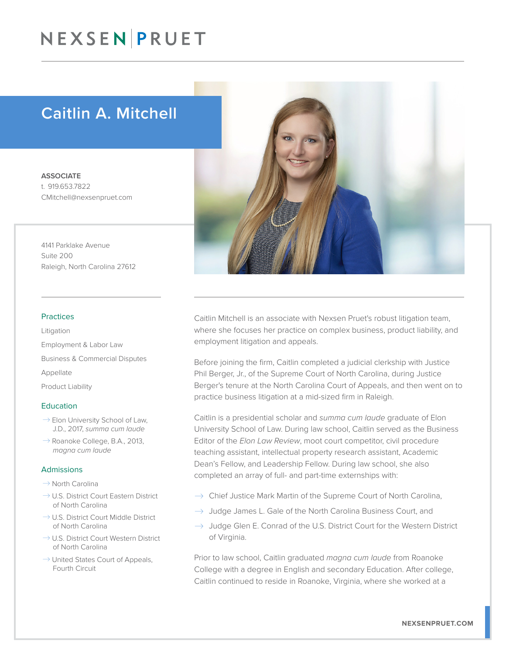# NEXSEN PRUET

## Caitlin A. Mitchell

**ASSOCIATE** t. 919.653.7822 CMitchell@nexsenpruet.com

4141 Parklake Avenue Suite 200 Raleigh, North Carolina 27612

#### Practices

Litigation Employment & Labor Law Business & Commercial Disputes Appellate Product Liability

#### Education

- $\rightarrow$  Elon University School of Law, J.D., 2017, *summa cum laude*
- $\rightarrow$  Roanoke College, B.A., 2013, *magna cum laude*

#### Admissions

- $\rightarrow$  North Carolina
- $\rightarrow$  U.S. District Court Eastern District of North Carolina
- $\rightarrow$  U.S. District Court Middle District of North Carolina
- $\rightarrow$  U.S. District Court Western District of North Carolina
- $\rightarrow$  United States Court of Appeals, Fourth Circuit



Caitlin Mitchell is an associate with Nexsen Pruet's robust litigation team, where she focuses her practice on complex business, product liability, and employment litigation and appeals.

Before joining the firm, Caitlin completed a judicial clerkship with Justice Phil Berger, Jr., of the Supreme Court of North Carolina, during Justice Berger's tenure at the North Carolina Court of Appeals, and then went on to practice business litigation at a mid-sized firm in Raleigh.

Caitlin is a presidential scholar and *summa cum laude* graduate of Elon University School of Law. During law school, Caitlin served as the Business Editor of the *Elon Law Review*, moot court competitor, civil procedure teaching assistant, intellectual property research assistant, Academic Dean's Fellow, and Leadership Fellow. During law school, she also completed an array of full- and part-time externships with:

- $\rightarrow$  Chief Justice Mark Martin of the Supreme Court of North Carolina,
- $\rightarrow$  Judge James L. Gale of the North Carolina Business Court, and
- $\rightarrow$  Judge Glen E. Conrad of the U.S. District Court for the Western District of Virginia.

Prior to law school, Caitlin graduated *magna cum laude* from Roanoke College with a degree in English and secondary Education. After college, Caitlin continued to reside in Roanoke, Virginia, where she worked at a